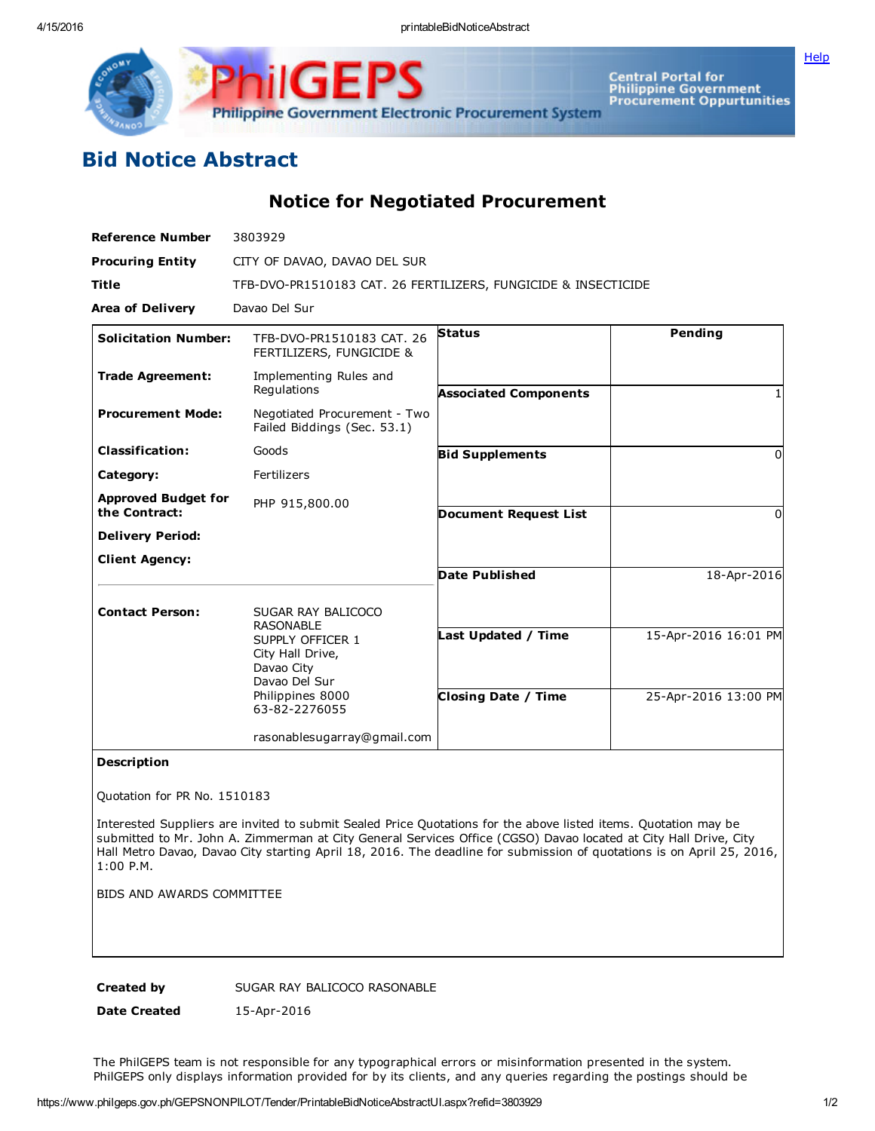

GE Philippine Government Electronic Procurement System

Central Portal for<br>Philippine Government<br>Procurement Oppurtunities

## Bid Notice Abstract

Notice for Negotiated Procurement

| <b>Reference Number</b>                     | 3803929                                                                                                  |                              |                      |
|---------------------------------------------|----------------------------------------------------------------------------------------------------------|------------------------------|----------------------|
| <b>Procuring Entity</b>                     | CITY OF DAVAO, DAVAO DEL SUR                                                                             |                              |                      |
| Title                                       | TFB-DVO-PR1510183 CAT. 26 FERTILIZERS, FUNGICIDE & INSECTICIDE                                           |                              |                      |
| <b>Area of Delivery</b>                     | Davao Del Sur                                                                                            |                              |                      |
| <b>Solicitation Number:</b>                 | TFB-DVO-PR1510183 CAT. 26<br>FERTILIZERS, FUNGICIDE &                                                    | <b>Status</b>                | Pending              |
| <b>Trade Agreement:</b>                     | Implementing Rules and<br>Regulations                                                                    | <b>Associated Components</b> |                      |
| <b>Procurement Mode:</b>                    | Negotiated Procurement - Two<br>Failed Biddings (Sec. 53.1)                                              |                              |                      |
| <b>Classification:</b>                      | Goods                                                                                                    | <b>Bid Supplements</b>       | 0                    |
| Category:                                   | Fertilizers                                                                                              |                              |                      |
| <b>Approved Budget for</b><br>the Contract: | PHP 915,800.00                                                                                           | <b>Document Request List</b> | 0                    |
| <b>Delivery Period:</b>                     |                                                                                                          |                              |                      |
| <b>Client Agency:</b>                       |                                                                                                          |                              |                      |
|                                             |                                                                                                          | <b>Date Published</b>        | 18-Apr-2016          |
| <b>Contact Person:</b>                      | SUGAR RAY BALICOCO<br><b>RASONABLE</b>                                                                   |                              |                      |
|                                             | SUPPLY OFFICER 1<br>City Hall Drive,<br>Davao City<br>Davao Del Sur<br>Philippines 8000<br>63-82-2276055 | Last Updated / Time          | 15-Apr-2016 16:01 PM |
|                                             |                                                                                                          | <b>Closing Date / Time</b>   | 25-Apr-2016 13:00 PM |
|                                             | rasonablesugarray@gmail.com                                                                              |                              |                      |

## Description

Quotation for PR No. 1510183

Interested Suppliers are invited to submit Sealed Price Quotations for the above listed items. Quotation may be submitted to Mr. John A. Zimmerman at City General Services Office (CGSO) Davao located at City Hall Drive, City Hall Metro Davao, Davao City starting April 18, 2016. The deadline for submission of quotations is on April 25, 2016, 1:00 P.M.

BIDS AND AWARDS COMMITTEE

Created by SUGAR RAY BALICOCO RASONABLE

Date Created 15-Apr-2016

The PhilGEPS team is not responsible for any typographical errors or misinformation presented in the system. PhilGEPS only displays information provided for by its clients, and any queries regarding the postings should be